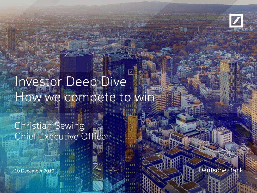

## Investor Deep Dive How we compete to win

**Confidential** 

Christian Sewing Chief Executive Officer

10 December 2019 7 March 2019 10 March 2019 7 March 2019 7 March 2019 7 March 2019 7 March 2019 7 March 2019 7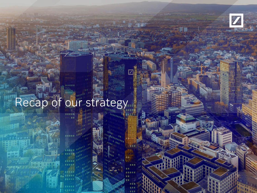

## Recap of our strategy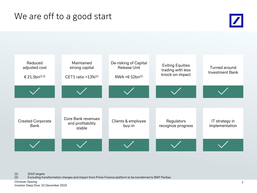



(1) 2019 targets

Excluding transformation charges and impact from Prime Finance platform to be transferred to BNP Paribas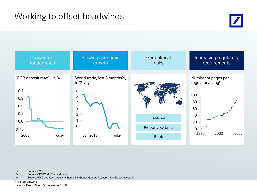



(1) Source: ECB<br>(2) Source: CPB (2) Source: CPB World Trade Monitor<br>(3) Source: FDIC and Koch, Ash and S

(3) Source: FDIC and Koch, Ash and Siems, DB Global Markets Research, US Global Investors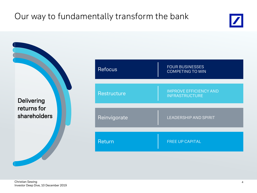### Our way to fundamentally transform the bank



**Delivering** returns for shareholders

| <b>Refocus</b> | <b>FOUR BUSINESSES</b><br><b>COMPETING TO WIN</b>      |
|----------------|--------------------------------------------------------|
|                |                                                        |
| Restructure    | <b>IMPROVE EFFICIENCY AND</b><br><b>INFRASTRUCTURE</b> |
|                |                                                        |
| Reinvigorate   | <b>LEADERSHIP AND SPIRIT</b>                           |
|                |                                                        |
| Return         | <b>FREE UP CAPITAL</b>                                 |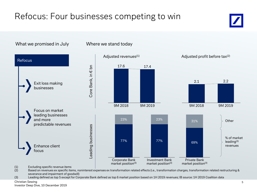### Refocus: Four businesses competing to win

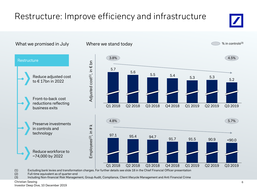### Restructure: Improve efficiency and infrastructure



(2) Full-time equivalent as of quarter-end<br>(3) Including Non-financial Risk Managen

Including Non-financial Risk Management, Group Audit, Compliance, Client lifecycle Management and Anti Financial Crime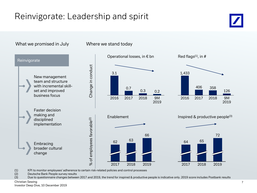### Reinvigorate: Leadership and spirit



(1) KPI to monitor employees' adherence to certain risk-related policies and control processes

(2) Deutsche Bank People survey results<br>(3) Due to questionnaire changes betwee

Due to questionnaire changes between 2017 and 2019, the trend for inspired & productive people is indicative only. 2019 score includes Postbank results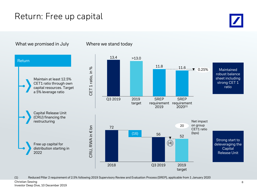### Return: Free up capital



What we promised in July Where we stand today

(1) Reduced Pillar 2 requirement of 2.5% following 2019 Supervisory Review and Evaluation Process (SREP), applicable from 1 January 2020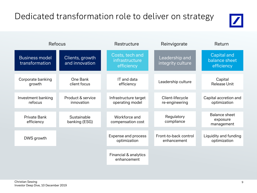### Dedicated transformation role to deliver on strategy



|                                         | <b>Refocus</b>                    | Restructure                                     | Reinvigorate                         | Return                                            |  |
|-----------------------------------------|-----------------------------------|-------------------------------------------------|--------------------------------------|---------------------------------------------------|--|
| <b>Business model</b><br>transformation | Clients, growth<br>and innovation | Costs, tech and<br>infrastructure<br>efficiency | Leadership and<br>integrity culture  | <b>Capital and</b><br>balance sheet<br>efficiency |  |
| Corporate banking<br>growth             | One Bank<br>client focus          | IT and data<br>efficiency                       | Leadership culture                   | Capital<br><b>Release Unit</b>                    |  |
| Investment banking<br>refocus           | Product & service<br>innovation   | Infrastructure target<br>operating model        | Client-lifecycle<br>re-engineering   | Capital accretion and<br>optimization             |  |
| Private Bank<br>efficiency              | Sustainable<br>banking (ESG)      | Workforce and<br>compensation cost              | Regulatory<br>compliance             | <b>Balance sheet</b><br>exposure<br>management    |  |
| DWS growth                              |                                   | Expense and process<br>optimization             | Front-to-back control<br>enhancement | Liquidity and funding<br>optimization             |  |
|                                         |                                   | Financial & analytics<br>enhancement            |                                      |                                                   |  |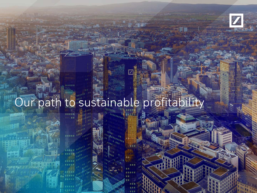

## Our path to sustainable profitability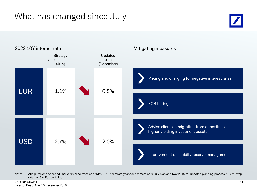### What has changed since July





Note: All figures end of period; market implied rates as of May 2019 for strategy announcement on 8 July plan and Nov 2019 for updated planning process; 10Y = Swap rates vs. 3M Euribor/ Libor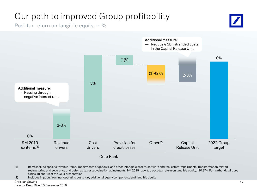### Our path to improved Group profitability

Post-tax return on tangible equity, in %





<sup>(1)</sup> Items include specific revenue items, impairments of goodwill and other intangible assets, software and real estate impairments, transformation related restructuring and severance and deferred tax asset valuation adjustments. 9M 2019 reported post-tax return on tangible equity: (10.3)%. For further details see slides 18 and 19 of the CFO presentation

(2) Includes impacts from nonoperating costs, tax, additional equity components and tangible equity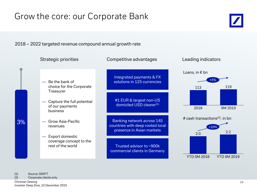### Grow the core: our Corporate Bank

2018 – 2022 targeted revenue compound annual growth rate



(1) Source: SWIFT<br>(2) Corporate clien Corporate clients only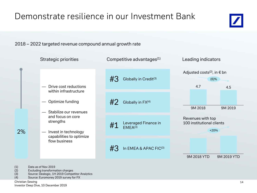

2018 – 2022 targeted revenue compound annual growth rate

|                       | <b>Strategic priorities</b>                                                                                                                                                                                  | Competitive advantages <sup>(1)</sup>                                     | Leading indicators                                       |  |
|-----------------------|--------------------------------------------------------------------------------------------------------------------------------------------------------------------------------------------------------------|---------------------------------------------------------------------------|----------------------------------------------------------|--|
| Drive cost reductions | #3<br>Globally in Credit <sup>(3)</sup>                                                                                                                                                                      | Adjusted costs <sup>(2)</sup> , in $\epsilon$ bn<br>$(6)$ %<br>4.7<br>4.5 |                                                          |  |
|                       | within infrastructure<br>Optimize funding<br>Stabilize our revenues<br>and focus on core<br>strengths<br>2%<br>Invest in technology<br>$\overline{\phantom{0}}$<br>capabilities to optimize<br>flow business | #2<br>Globally in FX(4)                                                   | 9M 2018<br>9M 2019                                       |  |
|                       |                                                                                                                                                                                                              | Leveraged Finance in<br>#1<br>EMEA <sup>(3)</sup>                         | Revenues with top<br>100 institutional clients<br>$+20%$ |  |
|                       |                                                                                                                                                                                                              | In EMEA & APAC FIC(3)<br>#3                                               | 9M 2018 YTD<br>9M 2019 YTD                               |  |

(1) Data as of Nov 2019<br>(2) Excluding transforma

(2) Excluding transformation charges<br>
(3) Source: Dealogic, 1H 2019 Compe<br>
(4) Source: Euromoney 2019 survey fo Source: Dealogic, 1H 2019 Competitor Analytics

Source: Euromoney 2019 survey for FX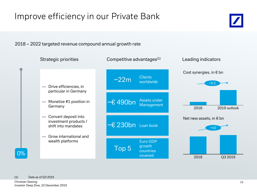### Improve efficiency in our Private Bank

2018 – 2022 targeted revenue compound annual growth rate



(1) Data as of Q3 2019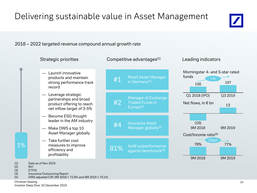

### 2018 – 2022 targeted revenue compound annual growth rate



(4) Insurance Outsourcing Report<br>(5) DWS adjusted CIR: 9M 2018 = (5) DWS adjusted CIR: 9M 2018 = 72.8% and 9M 2019 = 70.1%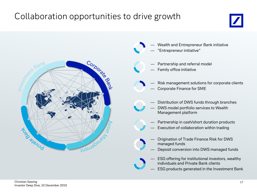### Collaboration opportunities to drive growth





- Wealth and Entrepreneur Bank initiative
- "Entrepreneur initiative"
- Partnership and referral model
- Family office initiative
- Risk management solutions for corporate clients — Corporate Finance for SME
- Distribution of DWS funds through branches
- DWS model portfolio services to Wealth Management platform
- Partnership in cash/short duration products
- Execution of collaboration within trading
- Origination of Trade Finance Risk for DWS managed funds
- Deposit conversion into DWS managed funds
- ESG offering for institutional investors, wealthy individuals and Private Bank clients
- ESG products generated in the Investment Bank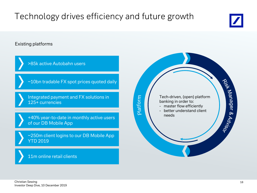## Technology drives efficiency and future growth



Existing platforms

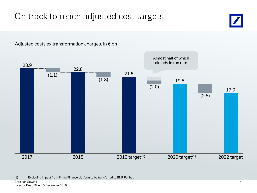### On track to reach adjusted cost targets



Adjusted costs ex transformation charges, in € bn

(1) Excluding impact from Prime Finance platform to be transferred to BNP Paribas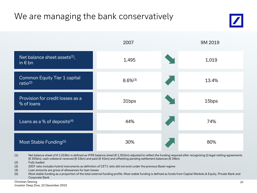### We are managing the bank conservatively





<sup>(1)</sup> Net balance sheet of  $\epsilon$  1,019bn is defined as IFRS balance sheet ( $\epsilon$  1,501bn) adjusted to reflect the funding required after recognizing (i) legal netting agreements (€ 355bn), cash collateral received (€ 53bn) and paid (€ 41bn) and offsetting pending settlement balances (€ 34bn)

- (2) Fully loaded
- (3) 2007 ratio includes hybrid instruments as definition of CET1 ratio did not exist under the previous Basel regime
- (4) Loan amounts are gross of allowances for loan losses
- (5) Most stable funding as a proportion of the total external funding profile. Most stable funding is defined as funds from Capital Markets & Equity, Private Bank and Corporate Bank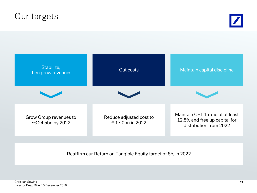### Our targets





#### Reaffirm our Return on Tangible Equity target of 8% in 2022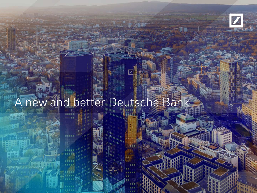

# A new and better Deutsche Bank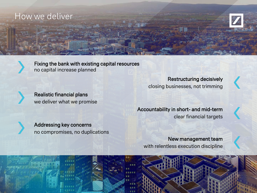### How we deliver





Fixing the bank with existing capital resources no capital increase planned



Realistic financial plans we deliver what we promise

Restructuring decisively closing businesses, not trimming





New management team with relentless execution discipline